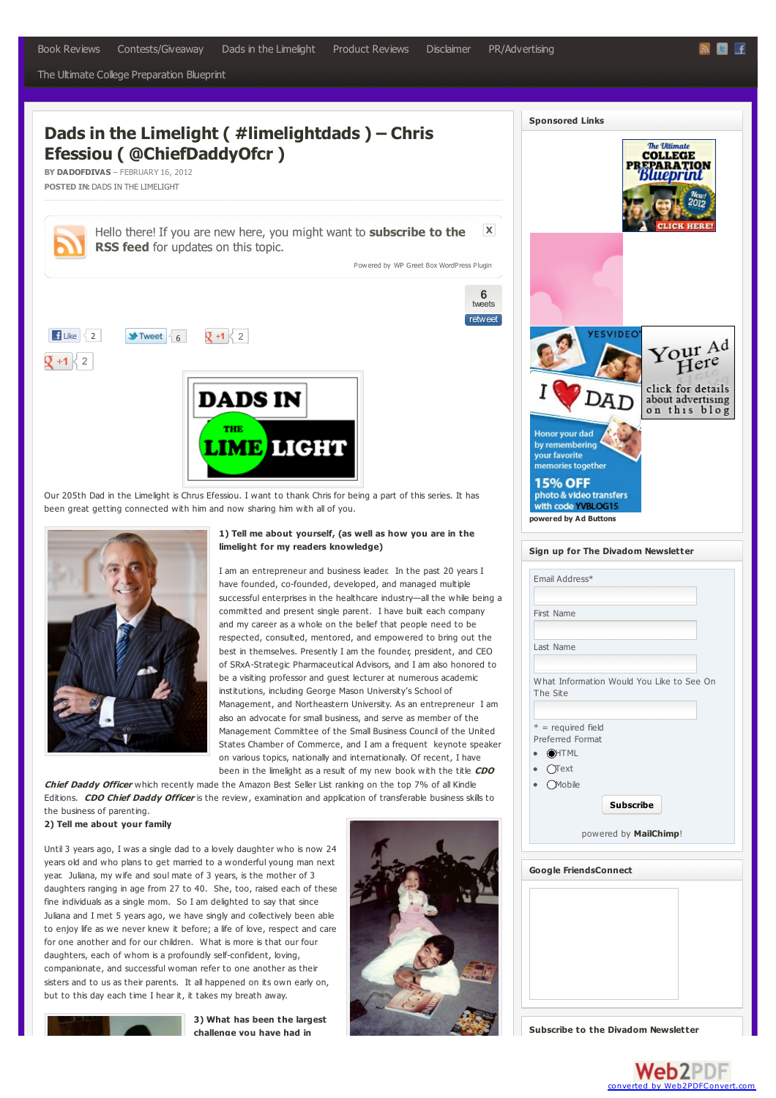<span id="page-0-0"></span>The Ultimate College [Preparation](http://dadofdivas.com/the-ultimate-college-preparation-blueprint) Blueprint

# **Dads in the Limelight ( #limelightdads ) – Chris Efessiou ( [@ChiefDaddyOfcr](#page-0-0) )**

**BY [DADOFDIVAS](http://dadofdivas.com/author/Chris)** – FEBRUARY 16, 2012 **POSTED IN:** DADS IN THE [LIMELIGHT](http://dadofdivas.com/category/dads-in-the-limelight)

Hello there! If you are new here, you might want to subscribe to the RSS feed for updates on this topic.

Powered by WP Greet Box WordPress Plugin

**6** [tweets](http://topsy.com/dadofdivas.com/dads-in-the-limelight/dads-in-the-limelight-limelightdads-chris-efessiou-chiefdaddyofcr?utm_source=button) retweet

 $\overline{\mathbf{x}}$ 



Our 205th Dad in the Limelight is Chrus Efessiou. I want to thank Chris for being a part of this series. It has been great getting connected with him and now sharing him with all of you.



### **1) Tell me about yourself, (as well as how you are in the limelight for my readers knowledge)**

I am an entrepreneur and business leader. In the past 20 years I have founded, co-founded, developed, and managed multiple successful enterprises in the healthcare industry—all the while being a committed and present single parent. I have built each company and my career as a whole on the belief that people need to be respected, consulted, mentored, and empowered to bring out the best in themselves. Presently I am the founder, president, and CEO of SRxA-Strategic Pharmaceutical Advisors, and I am also honored to be a visiting professor and guest lecturer at numerous academic institutions, including George Mason University's School of Management, and Northeastern University. As an entrepreneur I am also an advocate for small business, and serve as member of the Management Committee of the Small Business Council of the United States Chamber of Commerce, and I am a frequent keynote speaker on various topics, nationally and internationally. Of recent, I have been in the [limelight](http://www.amazon.com/CDO-Chief-Daddy-Officer-Fatherhood/dp/1599322498/ref=cm_cr_pr_product_top) as a result of my new book with the title **CDO**

**Chief Daddy Officer** which recently made the Amazon Best Seller List ranking on the top 7% of all Kindle Editions. **CDO Chief [Daddy](http://www.amazon.com/CDO-Chief-Daddy-Officer-Fatherhood/dp/1599322498/ref=cm_cr_pr_product_top) Officer** is the review, examination and application of transferable business skills to the business of parenting.

> **3) What has been the largest challenge you have had in**

### **2) Tell me about your family**

Until 3 years ago, I was a single dad to a lovely daughter who is now 24 years old and who plans to get married to a wonderful young man next year. Juliana, my wife and soul mate of 3 years, is the mother of 3 daughters ranging in age from 27 to 40. She, too, raised each of these fine individuals as a single mom. So I am delighted to say that since Juliana and I met 5 years ago, we have singly and collectively been able to enjoy life as we never knew it before; a life of love, respect and care for one another and for our children. What is more is that our four daughters, each of whom is a profoundly self-confident, loving, companionate, and successful woman refer to one another as their sisters and to us as their parents. It all happened on its own early on, but to this day each time I hear it, it takes my breath away.



| <b>Sponsored Links</b>                                                                                                                                                        |
|-------------------------------------------------------------------------------------------------------------------------------------------------------------------------------|
| <b>The Ultimate</b><br>COLLEGE<br>PR<br><b>RATION</b><br>LICK HERE!                                                                                                           |
| <b>YESVIDEO</b><br>Your <sup>Ad</sup><br>Here                                                                                                                                 |
| click for details<br>about advertising<br>on this blog<br>Honor your dad<br>by remembering<br>your favorite<br>memories together<br><b>15% OFF</b><br>photo & video transfers |
| with code YVBLOG15<br>powered by Ad Buttons<br>Sign up for The Divadom Newsletter<br>Email Address*                                                                           |
| First Name<br>Last Name                                                                                                                                                       |
| What Information Would You Like to See On<br>The Site                                                                                                                         |
| $* =$ required field<br>Preferred Format<br><b>OHTML</b><br>(Text                                                                                                             |
| <b>Mobile</b><br><b>Subscribe</b><br>powered by MailChimp!                                                                                                                    |
|                                                                                                                                                                               |
| <b>Google FriendsConnect</b>                                                                                                                                                  |
|                                                                                                                                                                               |

**Subscribe to the Divadom [Newsletter](http://eepurl.com/lc3-H)**

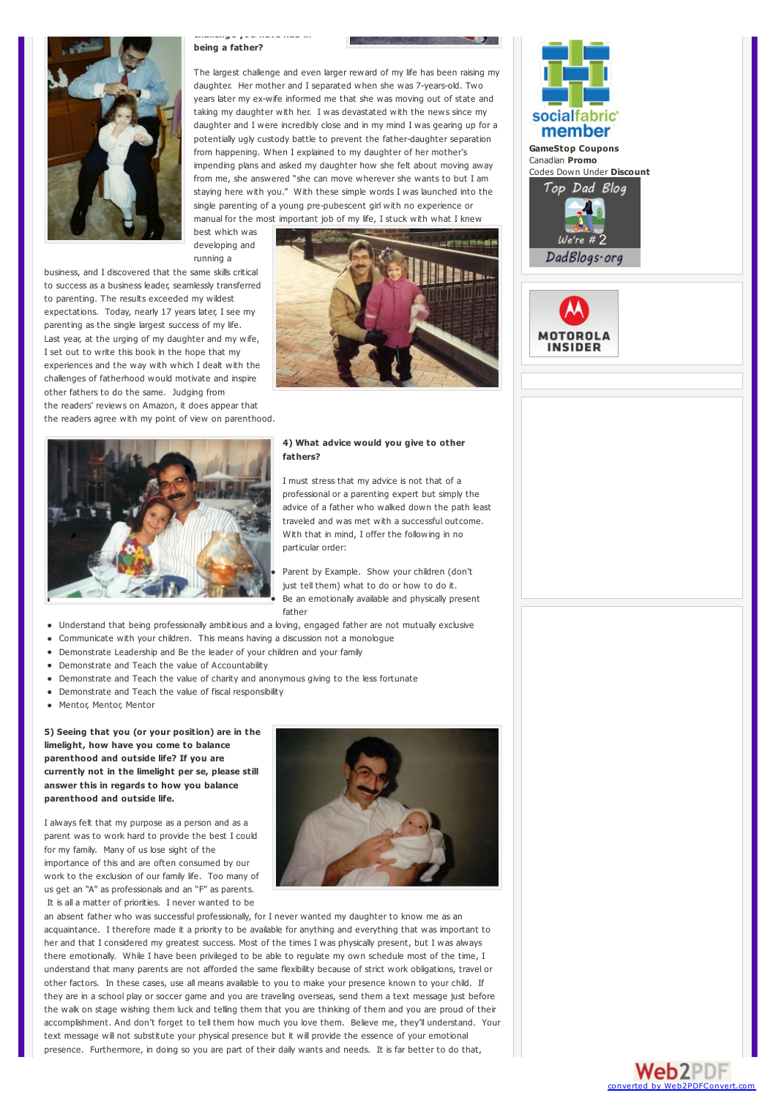

### **challenge you have had in being a father?**

The largest challenge and even larger reward of my life has been raising my daughter. Her mother and I separated when she was 7-years-old. Two years later my ex-wife informed me that she was moving out of state and taking my daughter with her. I was devastated with the news since my daughter and I were incredibly close and in my mind I was gearing up for a potentially ugly custody battle to prevent the father-daughter separation from happening. When I explained to my daughter of her mother's impending plans and asked my daughter how she felt about moving away from me, she answered "she can move wherever she wants to but I am staying here with you." With these simple words I was launched into the single parenting of a young pre-pubescent girl with no experience or manual for the most important job of my life, I stuck with what I knew

best which was developing and running a

business, and I discovered that the same skills critical to success as a business leader, seamlessly transferred to parenting. The results exceeded my wildest expectations. Today, nearly 17 years later, I see my parenting as the single largest success of my life. Last year, at the urging of my daughter and my wife, I set out to write this book in the hope that my experiences and the way with which I dealt with the challenges of fatherhood would motivate and inspire other fathers to do the same. Judging from the [readers'](http://www.amazon.com/CDO-Chief-Daddy-Officer-Fatherhood/product-reviews/1599322498/ref=dp_top_cm_cr_acr_txt?ie=UTF8&showViewpoints=1) reviews on Amazon, it does appear that the readers agree with my point of view on parenthood.



### **4) What advice would you give to other fathers?**

I must stress that my advice is not that of a professional or a parenting expert but simply the advice of a father who walked down the path least traveled and was met with a successful outcome. With that in mind, I offer the following in no particular order:

Parent by Example. Show your children (don't just tell them) what to do or how to do it. Be an emotionally available and physically present father

- Understand that being professionally ambitious and a loving, engaged father are not mutually exclusive
- Communicate with your children. This means having a discussion not a monologue
- Demonstrate Leadership and Be the leader of your children and your family
- Demonstrate and Teach the value of Accountability
- Demonstrate and Teach the value of charity and anonymous giving to the less fortunate
- Demonstrate and Teach the value of fiscal responsibility
- Mentor, Mentor, Mentor

**5) Seeing that you (or your position) are in the limelight, how have you come to balance parenthood and outside life? If you are currently not in the limelight per se, please still answer this in regards to how you balance parenthood and outside life.**

I always felt that my purpose as a person and as a parent was to work hard to provide the best I could for my family. Many of us lose sight of the importance of this and are often consumed by our work to the exclusion of our family life. Too many of us get an "A" as professionals and an "F" as parents. It is all a matter of priorities. I never wanted to be



an absent father who was successful professionally, for I never wanted my daughter to know me as an acquaintance. I therefore made it a priority to be available for anything and everything that was important to her and that I considered my greatest success. Most of the times I was physically present, but I was always there emotionally. While I have been privileged to be able to regulate my own schedule most of the time, I understand that many parents are not afforded the same flexibility because of strict work obligations, travel or other factors. In these cases, use all means available to you to make your presence known to your child. If they are in a school play or soccer game and you are traveling overseas, send them a text message just before the walk on stage wishing them luck and telling them that you are thinking of them and you are proud of their accomplishment. And don't forget to tell them how much you love them. Believe me, they'll understand. Your text message will not substitute your physical presence but it will provide the essence of your emotional presence. Furthermore, in doing so you are part of their daily wants and needs. It is far better to do that,





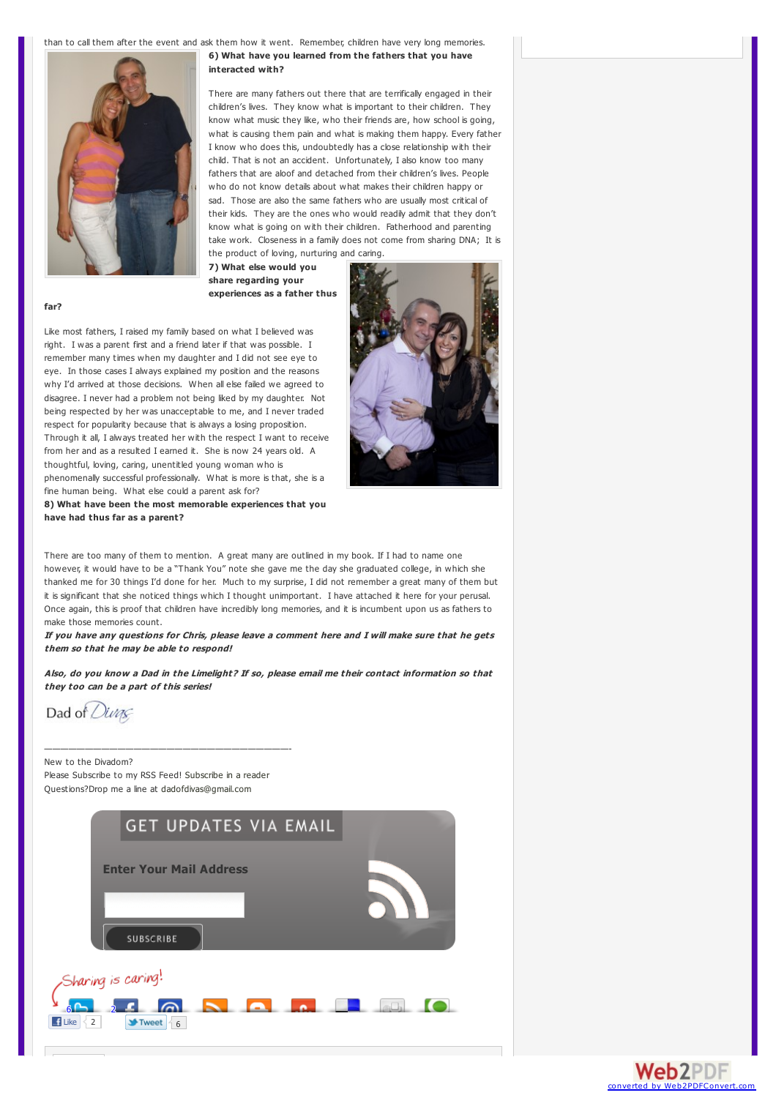than to call them after the event and ask them how it went. Remember, children have very long memories.



**6) What have you learned from the fathers that you have interacted with?**

There are many fathers out there that are terrifically engaged in their children's lives. They know what is important to their children. They know what music they like, who their friends are, how school is going, what is causing them pain and what is making them happy. Every father I know who does this, undoubtedly has a close relationship with their child. That is not an accident. Unfortunately, I also know too many fathers that are aloof and detached from their children's lives. People who do not know details about what makes their children happy or sad. Those are also the same fathers who are usually most critical of their kids. They are the ones who would readily admit that they don't know what is going on with their children. Fatherhood and parenting take work. Closeness in a family does not come from sharing DNA; It is the product of loving, nurturing and caring.

**7) What else would you share regarding your experiences as a father thus**

### **far?**

Like most fathers, I raised my family based on what I believed was right. I was a parent first and a friend later if that was possible. I remember many times when my daughter and I did not see eye to eye. In those cases I always explained my position and the reasons why I'd arrived at those decisions. When all else failed we agreed to disagree. I never had a problem not being liked by my daughter. Not being respected by her was unacceptable to me, and I never traded respect for popularity because that is always a losing proposition. Through it all, I always treated her with the respect I want to receive from her and as a resulted I earned it. She is now 24 years old. A thoughtful, loving, caring, unentitled young woman who is phenomenally successful professionally. What is more is that, she is a fine human being. What else could a parent ask for?

**8) What have been the most memorable experiences that you have had thus far as a parent?**

There are too many of them to mention. A great many are outlined in my book. If I had to name one however, it would have to be a "Thank You" note she gave me the day she graduated college, in which she thanked me for 30 things I'd done for her. Much to my surprise, I did not remember a great many of them but it is significant that she noticed things which I thought unimportant. I have attached it here for your perusal. Once again, this is proof that children have incredibly long memories, and it is incumbent upon us as fathers to make those memories count.

If you have any questions for Chris, please leave a comment here and I will make sure that he gets **them so that he may be able to respond!**

Also, do you know a Dad in the Limelight? If so, please email me their contact information so that **they too can be <sup>a</sup> part of this series!**

Dad of Divas

New to the Divadom? Please Subscribe to my RSS Feed! [Subscribe](http://feeds.feedburner.com/DadOfDivas) in a reader Questions?Drop me a line at [dadofdivas@gmail.com](mailto:dadofdivas@gmail.com)

——————————————————————————————-